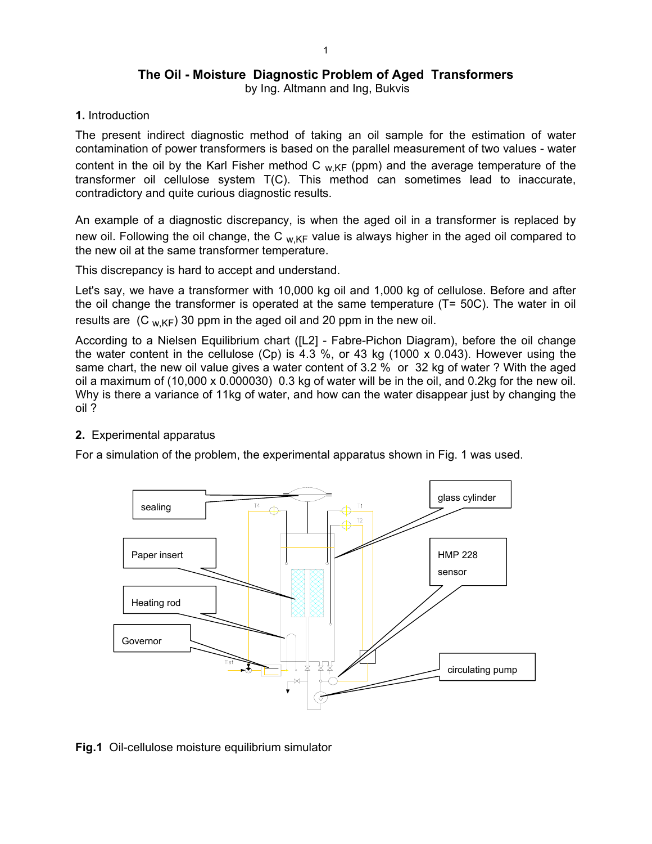# **The Oil - Moisture Diagnostic Problem of Aged Transformers**

by Ing. Altmann and Ing, Bukvis

**1.** Introduction

The present indirect diagnostic method of taking an oil sample for the estimation of water contamination of power transformers is based on the parallel measurement of two values - water content in the oil by the Karl Fisher method C  $_{W,KF}$  (ppm) and the average temperature of the transformer oil cellulose system T(C). This method can sometimes lead to inaccurate, contradictory and quite curious diagnostic results.

An example of a diagnostic discrepancy, is when the aged oil in a transformer is replaced by new oil. Following the oil change, the C  $_{W,KF}$  value is always higher in the aged oil compared to the new oil at the same transformer temperature.

This discrepancy is hard to accept and understand.

Let's say, we have a transformer with 10,000 kg oil and 1,000 kg of cellulose. Before and after the oil change the transformer is operated at the same temperature (T= 50C). The water in oil results are  $(C_{W,KF})$  30 ppm in the aged oil and 20 ppm in the new oil.

According to a Nielsen Equilibrium chart ([L2] - Fabre-Pichon Diagram), before the oil change the water content in the cellulose (Cp) is 4.3 %, or 43 kg (1000 x 0.043). However using the same chart, the new oil value gives a water content of 3.2 % or 32 kg of water ? With the aged oil a maximum of (10,000 x 0.000030) 0.3 kg of water will be in the oil, and 0.2kg for the new oil. Why is there a variance of 11kg of water, and how can the water disappear just by changing the oil ?

## **2.** Experimental apparatus

For a simulation of the problem, the experimental apparatus shown in Fig. 1 was used.



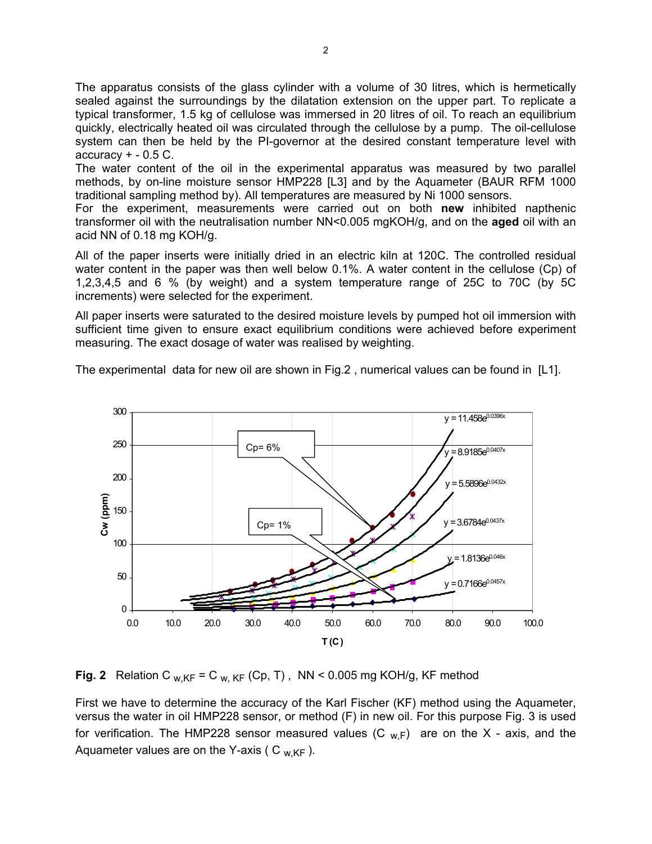The apparatus consists of the glass cylinder with a volume of 30 litres, which is hermetically sealed against the surroundings by the dilatation extension on the upper part. To replicate a typical transformer, 1.5 kg of cellulose was immersed in 20 litres of oil. To reach an equilibrium quickly, electrically heated oil was circulated through the cellulose by a pump. The oil-cellulose system can then be held by the PI-governor at the desired constant temperature level with  $accuracy + -0.5 C$ .

The water content of the oil in the experimental apparatus was measured by two parallel methods, by on-line moisture sensor HMP228 [L3] and by the Aquameter (BAUR RFM 1000 traditional sampling method by). All temperatures are measured by Ni 1000 sensors.

For the experiment, measurements were carried out on both **new** inhibited napthenic transformer oil with the neutralisation number NN<0.005 mgKOH/g, and on the **aged** oil with an acid NN of 0.18 mg KOH/g.

All of the paper inserts were initially dried in an electric kiln at 120C. The controlled residual water content in the paper was then well below 0.1%. A water content in the cellulose (Cp) of 1,2,3,4,5 and 6 % (by weight) and a system temperature range of 25C to 70C (by 5C increments) were selected for the experiment.

All paper inserts were saturated to the desired moisture levels by pumped hot oil immersion with sufficient time given to ensure exact equilibrium conditions were achieved before experiment measuring. The exact dosage of water was realised by weighting.

The experimental data for new oil are shown in Fig.2, numerical values can be found in [L1].



**Fig. 2** Relation C  $_{W,KF}$  = C  $_{W,KF}$  (Cp, T), NN < 0.005 mg KOH/g, KF method

First we have to determine the accuracy of the Karl Fischer (KF) method using the Aquameter, versus the water in oil HMP228 sensor, or method (F) in new oil. For this purpose Fig. 3 is used for verification. The HMP228 sensor measured values  $(C_{w,F})$  are on the X - axis, and the Aquameter values are on the Y-axis (  $C_{W,KF}$  ).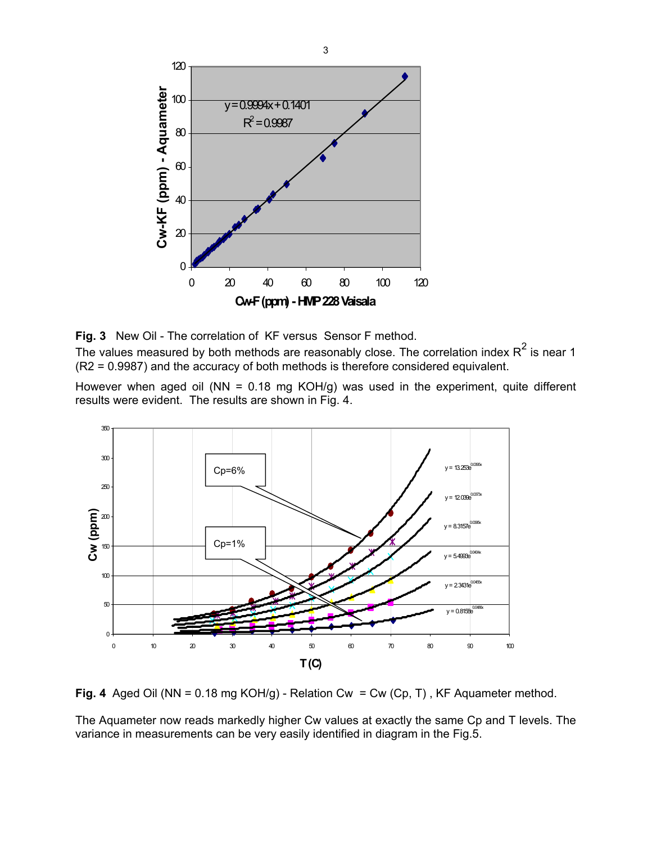

**Fig. 3** New Oil - The correlation of KF versus Sensor F method.

The values measured by both methods are reasonably close. The correlation index  $R^2$  is near 1 (R2 = 0.9987) and the accuracy of both methods is therefore considered equivalent.

However when aged oil (NN =  $0.18$  mg KOH/g) was used in the experiment, quite different results were evident. The results are shown in Fig. 4.



**Fig. 4** Aged Oil (NN = 0.18 mg KOH/g) - Relation Cw = Cw (Cp, T) , KF Aquameter method.

The Aquameter now reads markedly higher Cw values at exactly the same Cp and T levels. The variance in measurements can be very easily identified in diagram in the Fig.5.

 $\sim$  3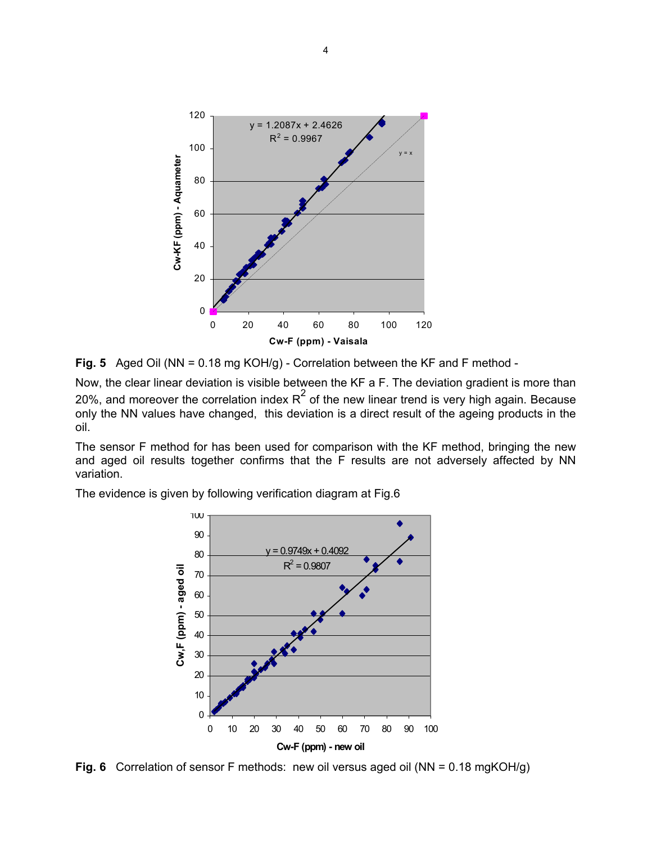

**Fig. 5** Aged Oil (NN = 0.18 mg KOH/g) - Correlation between the KF and F method -

Now, the clear linear deviation is visible between the KF a F. The deviation gradient is more than 20%, and moreover the correlation index  $R^2$  of the new linear trend is very high again. Because only the NN values have changed, this deviation is a direct result of the ageing products in the oil.

The sensor F method for has been used for comparison with the KF method, bringing the new and aged oil results together confirms that the F results are not adversely affected by NN variation.

The evidence is given by following verification diagram at Fig.6



**Fig. 6** Correlation of sensor F methods: new oil versus aged oil (NN = 0.18 mgKOH/g)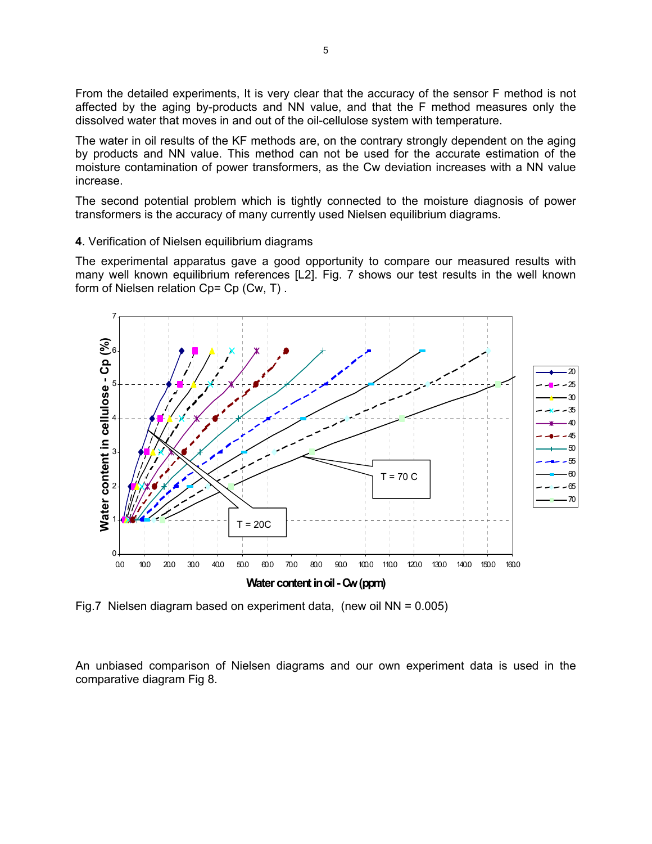From the detailed experiments, It is very clear that the accuracy of the sensor F method is not affected by the aging by-products and NN value, and that the F method measures only the dissolved water that moves in and out of the oil-cellulose system with temperature.

The water in oil results of the KF methods are, on the contrary strongly dependent on the aging by products and NN value. This method can not be used for the accurate estimation of the moisture contamination of power transformers, as the Cw deviation increases with a NN value increase.

The second potential problem which is tightly connected to the moisture diagnosis of power transformers is the accuracy of many currently used Nielsen equilibrium diagrams.

#### **4**. Verification of Nielsen equilibrium diagrams

The experimental apparatus gave a good opportunity to compare our measured results with many well known equilibrium references [L2]. Fig. 7 shows our test results in the well known form of Nielsen relation Cp= Cp (Cw, T) .



Fig.7 Nielsen diagram based on experiment data, (new oil  $NN = 0.005$ )

An unbiased comparison of Nielsen diagrams and our own experiment data is used in the comparative diagram Fig 8.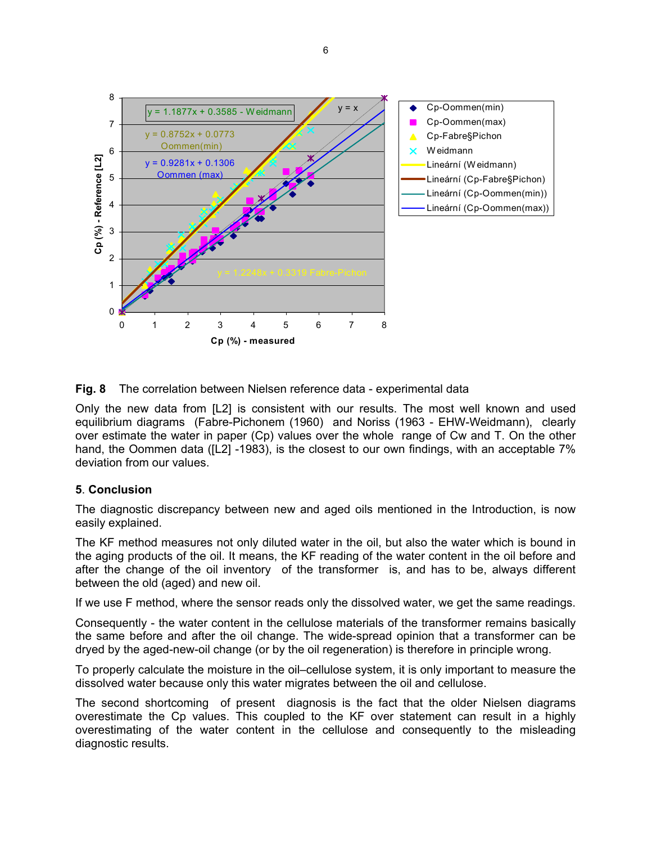

## **Fig. 8** The correlation between Nielsen reference data - experimental data

Only the new data from [L2] is consistent with our results. The most well known and used equilibrium diagrams (Fabre-Pichonem (1960) and Noriss (1963 - EHW-Weidmann), clearly over estimate the water in paper (Cp) values over the whole range of Cw and T. On the other hand, the Oommen data ([L2] -1983), is the closest to our own findings, with an acceptable 7% deviation from our values.

### **5**. **Conclusion**

The diagnostic discrepancy between new and aged oils mentioned in the Introduction, is now easily explained.

The KF method measures not only diluted water in the oil, but also the water which is bound in the aging products of the oil. It means, the KF reading of the water content in the oil before and after the change of the oil inventory of the transformer is, and has to be, always different between the old (aged) and new oil.

If we use F method, where the sensor reads only the dissolved water, we get the same readings.

Consequently - the water content in the cellulose materials of the transformer remains basically the same before and after the oil change. The wide-spread opinion that a transformer can be dryed by the aged-new-oil change (or by the oil regeneration) is therefore in principle wrong.

To properly calculate the moisture in the oil–cellulose system, it is only important to measure the dissolved water because only this water migrates between the oil and cellulose.

The second shortcoming of present diagnosis is the fact that the older Nielsen diagrams overestimate the Cp values. This coupled to the KF over statement can result in a highly overestimating of the water content in the cellulose and consequently to the misleading diagnostic results.